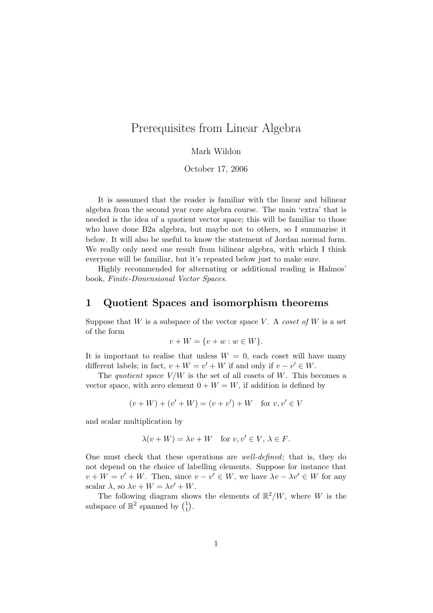# Prerequisites from Linear Algebra

#### Mark Wildon

October 17, 2006

It is asssumed that the reader is familiar with the linear and bilinear algebra from the second year core algebra course. The main 'extra' that is needed is the idea of a quotient vector space; this will be familiar to those who have done B2a algebra, but maybe not to others, so I summarise it below. It will also be useful to know the statement of Jordan normal form. We really only need one result from bilinear algebra, with which I think everyone will be familiar, but it's repeated below just to make sure.

Highly recommended for alternating or additional reading is Halmos' book, Finite-Dimensional Vector Spaces.

### 1 Quotient Spaces and isomorphism theorems

Suppose that  $W$  is a subspace of the vector space  $V$ . A coset of  $W$  is a set of the form

$$
v + W = \{v + w : w \in W\}.
$$

It is important to realise that unless  $W = 0$ , each coset will have many different labels; in fact,  $v + W = v' + W$  if and only if  $v - v' \in W$ .

The quotient space  $V/W$  is the set of all cosets of W. This becomes a vector space, with zero element  $0 + W = W$ , if addition is defined by

$$
(v+W) + (v'+W) = (v+v') + W
$$
 for  $v, v' \in V$ 

and scalar multiplication by

$$
\lambda(v + W) = \lambda v + W \quad \text{for } v, v' \in V, \lambda \in F.
$$

One must check that these operations are well-defined; that is, they do not depend on the choice of labelling elements. Suppose for instance that  $v + W = v' + W$ . Then, since  $v - v' \in W$ , we have  $\lambda v - \lambda v' \in W$  for any scalar  $\lambda$ , so  $\lambda v + W = \lambda v' + W$ .

The following diagram shows the elements of  $\mathbb{R}^2/W$ , where W is the subspace of  $\mathbb{R}^2$  spanned by  $\binom{1}{1}$  $_{1}^{1}$ .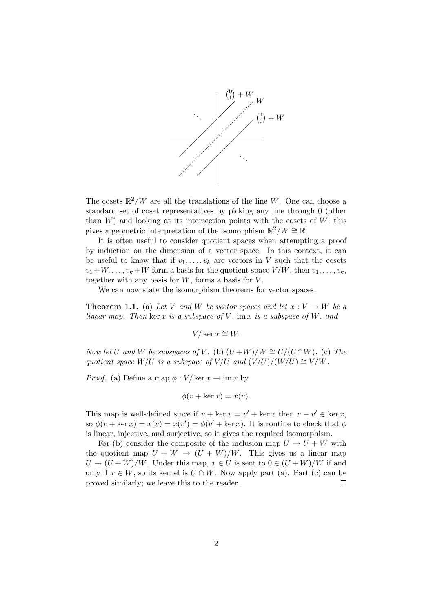

The cosets  $\mathbb{R}^2/W$  are all the translations of the line W. One can choose a standard set of coset representatives by picking any line through 0 (other than  $W$ ) and looking at its intersection points with the cosets of  $W$ ; this gives a geometric interpretation of the isomorphism  $\mathbb{R}^2/W \cong \mathbb{R}$ .

It is often useful to consider quotient spaces when attempting a proof by induction on the dimension of a vector space. In this context, it can be useful to know that if  $v_1, \ldots, v_k$  are vectors in V such that the cosets  $v_1+W,\ldots,v_k+W$  form a basis for the quotient space  $V/W$ , then  $v_1,\ldots,v_k$ , together with any basis for  $W$ , forms a basis for  $V$ .

We can now state the isomorphism theorems for vector spaces.

**Theorem 1.1.** (a) Let V and W be vector spaces and let  $x: V \to W$  be a linear map. Then ker x is a subspace of V, im x is a subspace of W, and

 $V/\ker x \cong W$ .

Now let U and W be subspaces of V. (b)  $(U+W)/W \cong U/(U\cap W)$ . (c) The quotient space W/U is a subspace of V/U and  $(V/U)/(W/U) \cong V/W$ .

*Proof.* (a) Define a map  $\phi: V/\ker x \to \lim x$  by

$$
\phi(v + \ker x) = x(v).
$$

This map is well-defined since if  $v + \ker x = v' + \ker x$  then  $v - v' \in \ker x$ , so  $\phi(v + \ker x) = x(v) = x(v') = \phi(v' + \ker x)$ . It is routine to check that  $\phi$ is linear, injective, and surjective, so it gives the required isomorphism.

For (b) consider the composite of the inclusion map  $U \to U + W$  with the quotient map  $U + W \rightarrow (U + W)/W$ . This gives us a linear map  $U \to (U+W)/W$ . Under this map,  $x \in U$  is sent to  $0 \in (U+W)/W$  if and only if  $x \in W$ , so its kernel is  $U \cap W$ . Now apply part (a). Part (c) can be proved similarly; we leave this to the reader.  $\Box$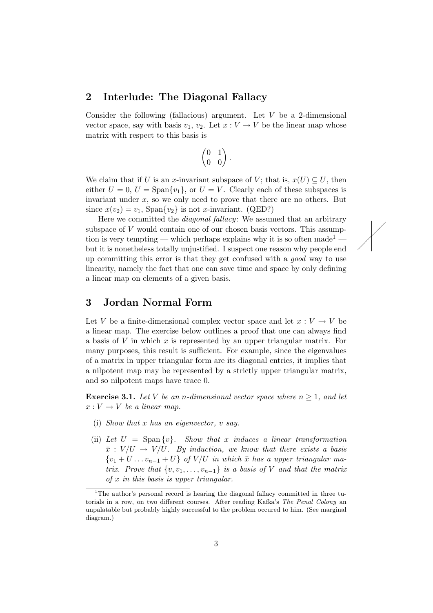### 2 Interlude: The Diagonal Fallacy

Consider the following (fallacious) argument. Let  $V$  be a 2-dimensional vector space, say with basis  $v_1, v_2$ . Let  $x : V \to V$  be the linear map whose matrix with respect to this basis is

$$
\begin{pmatrix} 0 & 1 \\ 0 & 0 \end{pmatrix}.
$$

We claim that if U is an x-invariant subspace of V; that is,  $x(U) \subseteq U$ , then either  $U = 0$ ,  $U = \text{Span}\{v_1\}$ , or  $U = V$ . Clearly each of these subspaces is invariant under  $x$ , so we only need to prove that there are no others. But since  $x(v_2) = v_1$ ,  $\text{Span}\{v_2\}$  is not *x*-invariant. (QED?)

Here we committed the diagonal fallacy: We assumed that an arbitrary subspace of V would contain one of our chosen basis vectors. This assumption is very tempting — which perhaps explains why it is so often made<sup>1</sup> but it is nonetheless totally unjustified. I suspect one reason why people end up committing this error is that they get confused with a good way to use linearity, namely the fact that one can save time and space by only defining a linear map on elements of a given basis.

 $\overline{\diagup}$  $\diagup$ ∕

## 3 Jordan Normal Form

Let V be a finite-dimensional complex vector space and let  $x: V \to V$  be a linear map. The exercise below outlines a proof that one can always find a basis of V in which x is represented by an upper triangular matrix. For many purposes, this result is sufficient. For example, since the eigenvalues of a matrix in upper triangular form are its diagonal entries, it implies that a nilpotent map may be represented by a strictly upper triangular matrix, and so nilpotent maps have trace 0.

**Exercise 3.1.** Let V be an n-dimensional vector space where  $n \geq 1$ , and let  $x: V \to V$  be a linear map.

- (i) Show that x has an eigenvector,  $v$  say.
- (ii) Let  $U = \text{Span}\{v\}$ . Show that x induces a linear transformation  $\bar{x}:V/U \rightarrow V/U$ . By induction, we know that there exists a basis  ${v_1 + U \dots v_{n-1} + U}$  of  $V/U$  in which  $\bar{x}$  has a upper triangular matrix. Prove that  $\{v, v_1, \ldots, v_{n-1}\}$  is a basis of V and that the matrix  $of x$  in this basis is upper triangular.

<sup>&</sup>lt;sup>1</sup>The author's personal record is hearing the diagonal fallacy committed in three tutorials in a row, on two different courses. After reading Kafka's The Penal Colony an unpalatable but probably highly successful to the problem occured to him. (See marginal diagram.)